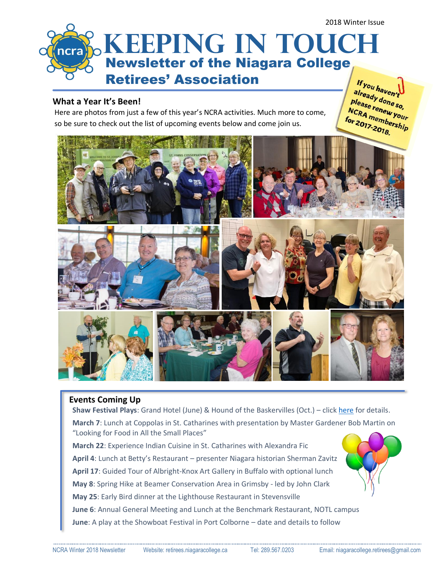

# **What a Year It's Been!**

Here are photos from just a few of this year's NCRA activities. Much more to come, so be sure to check out the list of upcoming events below and come join us.

"You haven<sub>"t</sub><br>already done so,<br><sup>please</sup> renewso, Tready done so,<br>Please renew your<br>NCRA members riease renew your<br>NCRA membership<br>for 2017-2018 for 2017-2018.



# **Events Coming Up**

**Shaw Festival Plays:** Grand Hotel (June) & Hound of the Baskervilles (Oct.) – clic[k here](http://retirees.niagaracollege.ca/upcoming-events/shaw-festival-2018) for details. **March 7**: Lunch at Coppolas in St. Catharines with presentation by Master Gardener Bob Martin on "Looking for Food in All the Small Places"

**March 22**: Experience Indian Cuisine in St. Catharines with Alexandra Fic **April 4**: Lunch at Betty's Restaurant – presenter Niagara historian Sherman Zavitz **April 17**: Guided Tour of Albright-Knox Art Gallery in Buffalo with optional lunch **May 8**: Spring Hike at Beamer Conservation Area in Grimsby - led by John Clark **May 25**: Early Bird dinner at the Lighthouse Restaurant in Stevensville **June 6**: Annual General Meeting and Lunch at the Benchmark Restaurant, NOTL campus **June**: A play at the Showboat Festival in Port Colborne – date and details to follow